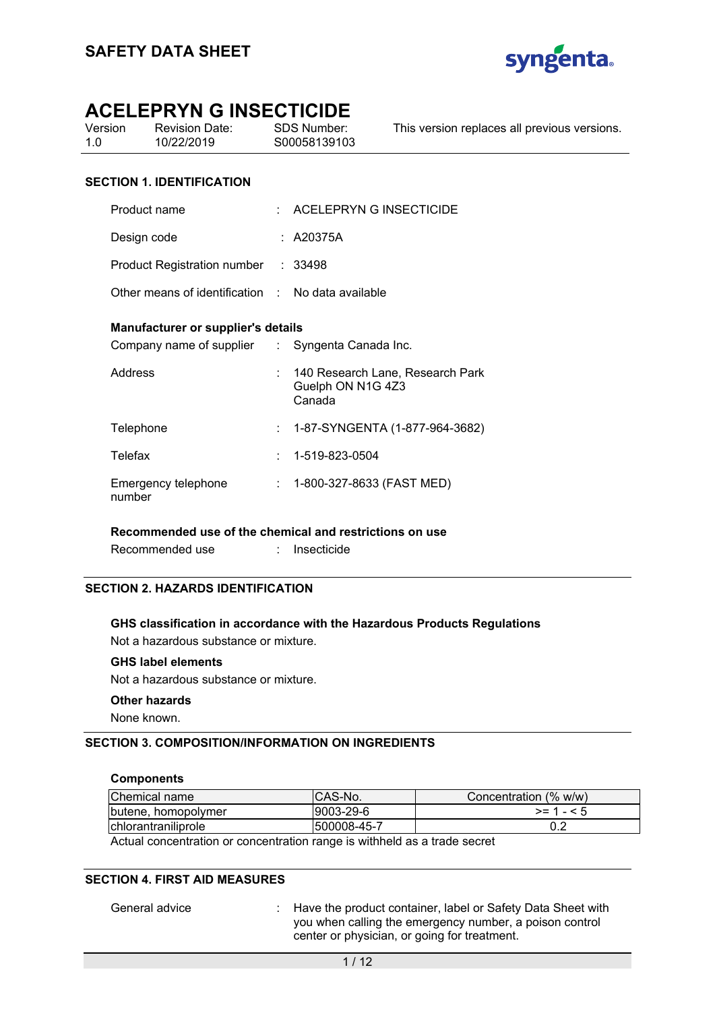

| Version | <b>Revision Date:</b> | SDS Number:  | This version replaces all previous versions. |
|---------|-----------------------|--------------|----------------------------------------------|
| 1 N     | 10/22/2019            | S00058139103 |                                              |
|         |                       |              |                                              |

### **SECTION 1. IDENTIFICATION**

| Product name                                                                                 |                | $\therefore$ ACELEPRYN G INSECTICIDE                            |
|----------------------------------------------------------------------------------------------|----------------|-----------------------------------------------------------------|
| Design code                                                                                  |                | : A20375A                                                       |
| Product Registration number : 33498                                                          |                |                                                                 |
| Other means of identification : No data available                                            |                |                                                                 |
| <b>Manufacturer or supplier's details</b><br>Company name of supplier : Syngenta Canada Inc. |                |                                                                 |
| Address                                                                                      |                | 140 Research Lane, Research Park<br>Guelph ON N1G 4Z3<br>Canada |
| Telephone                                                                                    | $\mathbb{R}^n$ | 1-87-SYNGENTA (1-877-964-3682)                                  |
| Telefax                                                                                      |                | $: 1 - 519 - 823 - 0504$                                        |
| Emergency telephone<br>number                                                                | t i            | 1-800-327-8633 (FAST MED)                                       |

### **Recommended use of the chemical and restrictions on use**

Recommended use : Insecticide

### **SECTION 2. HAZARDS IDENTIFICATION**

### **GHS classification in accordance with the Hazardous Products Regulations**

Not a hazardous substance or mixture.

### **GHS label elements**

Not a hazardous substance or mixture.

### **Other hazards**

None known.

### **SECTION 3. COMPOSITION/INFORMATION ON INGREDIENTS**

### **Components**

| Chemical name                                                             | ICAS-No.     | Concentration (% w/w) |  |
|---------------------------------------------------------------------------|--------------|-----------------------|--|
| butene, homopolymer                                                       | l9003-29-6   | $>= 1 - 5$            |  |
| chlorantraniliprole                                                       | 1500008-45-7 |                       |  |
| Actual concentration or concentration range is withheld as a trade secret |              |                       |  |

Actual concentration or concentration range is withheld as a trade secret

### **SECTION 4. FIRST AID MEASURES**

General advice : Have the product container, label or Safety Data Sheet with you when calling the emergency number, a poison control center or physician, or going for treatment.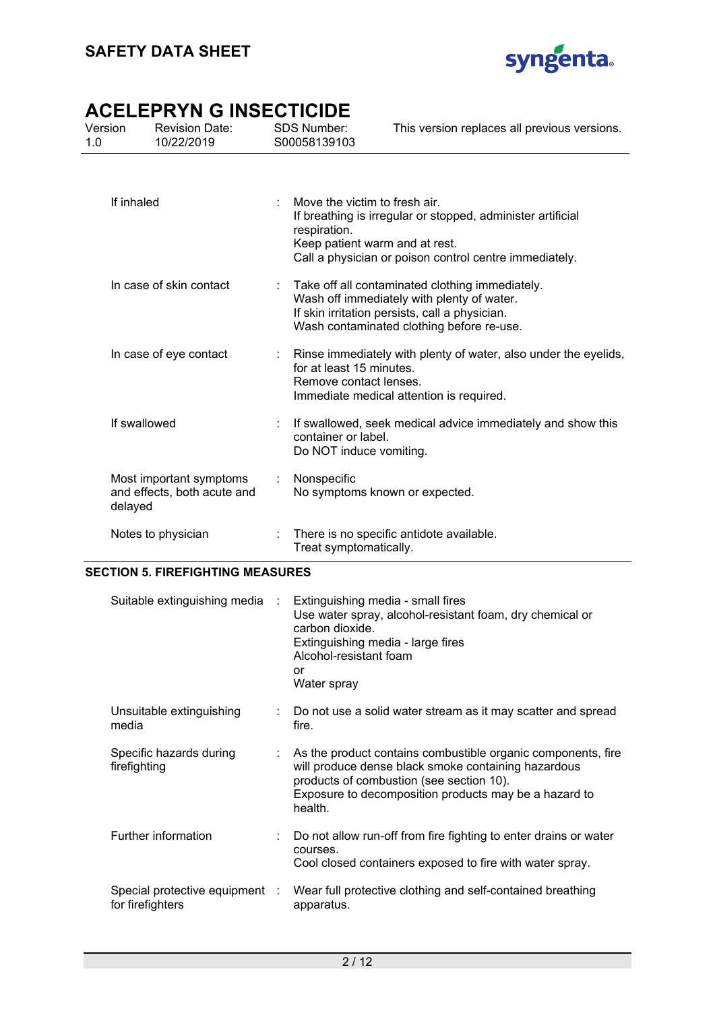

| Version<br>1.0 | <b>Revision Date:</b><br>10/22/2019                    | <b>SDS Number:</b><br>S00058139103                 | This version replaces all previous versions.                                                                                                                                                 |
|----------------|--------------------------------------------------------|----------------------------------------------------|----------------------------------------------------------------------------------------------------------------------------------------------------------------------------------------------|
| If inhaled     |                                                        | Move the victim to fresh air.<br>respiration.      | If breathing is irregular or stopped, administer artificial<br>Keep patient warm and at rest.<br>Call a physician or poison control centre immediately.                                      |
|                | In case of skin contact                                |                                                    | Take off all contaminated clothing immediately.<br>Wash off immediately with plenty of water.<br>If skin irritation persists, call a physician.<br>Wash contaminated clothing before re-use. |
|                | In case of eye contact                                 | for at least 15 minutes.<br>Remove contact lenses. | Rinse immediately with plenty of water, also under the eyelids,<br>Immediate medical attention is required.                                                                                  |
|                | If swallowed                                           | container or label.<br>Do NOT induce vomiting.     | If swallowed, seek medical advice immediately and show this                                                                                                                                  |
| delayed        | Most important symptoms<br>and effects, both acute and | Nonspecific                                        | No symptoms known or expected.                                                                                                                                                               |
|                | Notes to physician                                     | Treat symptomatically.                             | There is no specific antidote available.                                                                                                                                                     |

### **SECTION 5. FIREFIGHTING MEASURES**

| Suitable extinguishing media :                     | Extinguishing media - small fires<br>Use water spray, alcohol-resistant foam, dry chemical or<br>carbon dioxide.<br>Extinguishing media - large fires<br>Alcohol-resistant foam<br>or<br>Water spray                                |
|----------------------------------------------------|-------------------------------------------------------------------------------------------------------------------------------------------------------------------------------------------------------------------------------------|
| Unsuitable extinguishing<br>media                  | : Do not use a solid water stream as it may scatter and spread<br>fire.                                                                                                                                                             |
| Specific hazards during<br>firefighting            | As the product contains combustible organic components, fire<br>will produce dense black smoke containing hazardous<br>products of combustion (see section 10).<br>Exposure to decomposition products may be a hazard to<br>health. |
| Further information                                | Do not allow run-off from fire fighting to enter drains or water<br>courses.<br>Cool closed containers exposed to fire with water spray.                                                                                            |
| Special protective equipment :<br>for firefighters | Wear full protective clothing and self-contained breathing<br>apparatus.                                                                                                                                                            |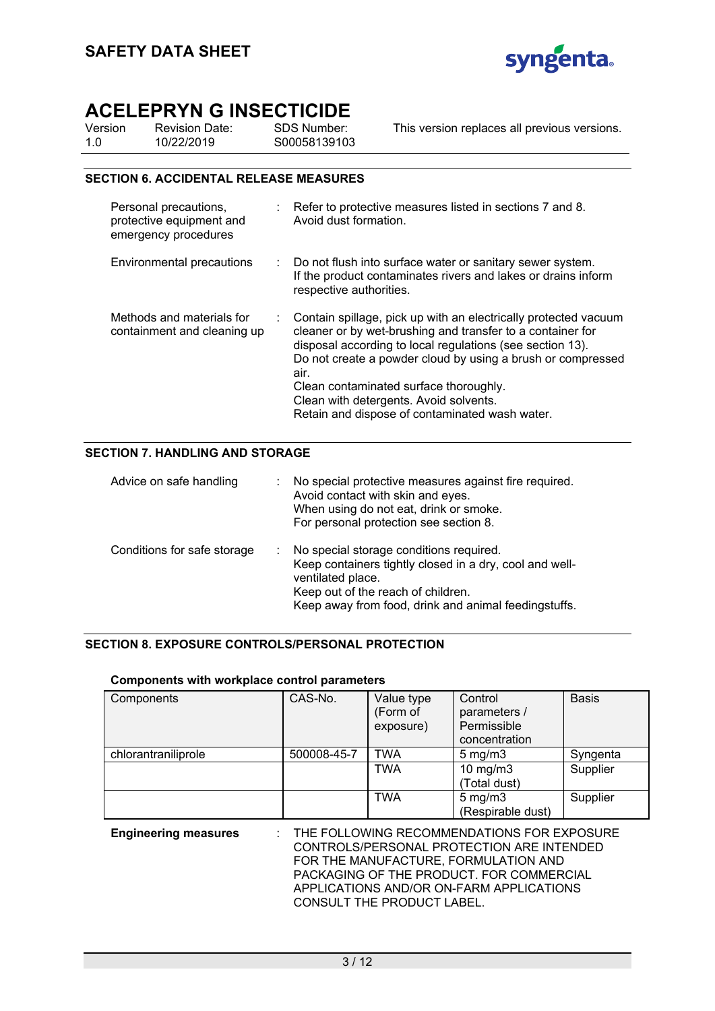

| Version | <b>Revision Date:</b> | SDS Number:  | This version replaces all previous versions. |
|---------|-----------------------|--------------|----------------------------------------------|
| 1.0     | 10/22/2019            | S00058139103 |                                              |
|         |                       |              |                                              |

### **SECTION 6. ACCIDENTAL RELEASE MEASURES**

| Personal precautions,<br>protective equipment and<br>emergency procedures | : Refer to protective measures listed in sections 7 and 8.<br>Avoid dust formation.                                                                                                                                                                                                                                                                                                                     |
|---------------------------------------------------------------------------|---------------------------------------------------------------------------------------------------------------------------------------------------------------------------------------------------------------------------------------------------------------------------------------------------------------------------------------------------------------------------------------------------------|
| Environmental precautions                                                 | : Do not flush into surface water or sanitary sewer system.<br>If the product contaminates rivers and lakes or drains inform<br>respective authorities.                                                                                                                                                                                                                                                 |
| Methods and materials for<br>containment and cleaning up                  | Contain spillage, pick up with an electrically protected vacuum<br>cleaner or by wet-brushing and transfer to a container for<br>disposal according to local regulations (see section 13).<br>Do not create a powder cloud by using a brush or compressed<br>air.<br>Clean contaminated surface thoroughly.<br>Clean with detergents. Avoid solvents.<br>Retain and dispose of contaminated wash water. |

### **SECTION 7. HANDLING AND STORAGE**

| Advice on safe handling     | No special protective measures against fire required.<br>Avoid contact with skin and eyes.<br>When using do not eat, drink or smoke.<br>For personal protection see section 8.                                        |
|-----------------------------|-----------------------------------------------------------------------------------------------------------------------------------------------------------------------------------------------------------------------|
| Conditions for safe storage | No special storage conditions required.<br>Keep containers tightly closed in a dry, cool and well-<br>ventilated place.<br>Keep out of the reach of children.<br>Keep away from food, drink and animal feedingstuffs. |

### **SECTION 8. EXPOSURE CONTROLS/PERSONAL PROTECTION**

### **Components with workplace control parameters**

| Components          | CAS-No.     | Value type<br>(Form of<br>exposure) | Control<br>parameters /<br>Permissible<br>concentration | <b>Basis</b> |
|---------------------|-------------|-------------------------------------|---------------------------------------------------------|--------------|
| chlorantraniliprole | 500008-45-7 | TWA                                 | $5 \text{ mg/m}$                                        | Syngenta     |
|                     |             | <b>TWA</b>                          | 10 $mg/m3$<br>(Total dust)                              | Supplier     |
|                     |             | TWA                                 | $5 \text{ mg/m}$<br>(Respirable dust)                   | Supplier     |

**Engineering measures** : THE FOLLOWING RECOMMENDATIONS FOR EXPOSURE CONTROLS/PERSONAL PROTECTION ARE INTENDED FOR THE MANUFACTURE, FORMULATION AND PACKAGING OF THE PRODUCT. FOR COMMERCIAL APPLICATIONS AND/OR ON-FARM APPLICATIONS CONSULT THE PRODUCT LABEL.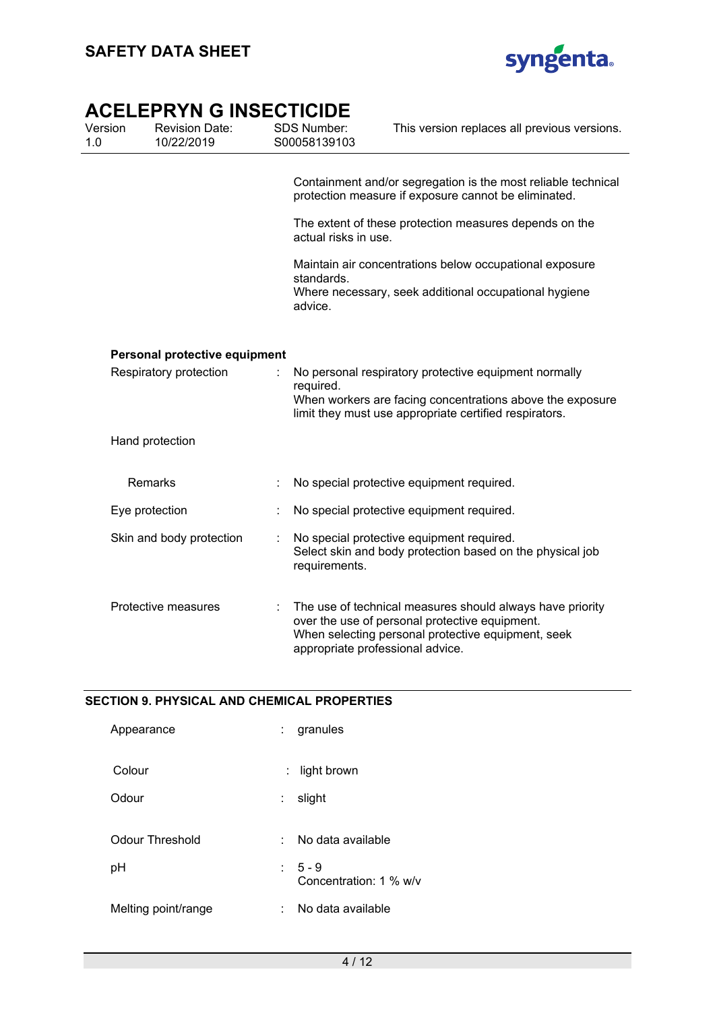

| Version<br>1.0 | <b>Revision Date:</b><br>10/22/2019 | SDS Number:<br>S00058139103 | This version replaces all previous versions.                                                                                                                                                          |
|----------------|-------------------------------------|-----------------------------|-------------------------------------------------------------------------------------------------------------------------------------------------------------------------------------------------------|
|                |                                     |                             | Containment and/or segregation is the most reliable technical<br>protection measure if exposure cannot be eliminated.                                                                                 |
|                |                                     | actual risks in use.        | The extent of these protection measures depends on the                                                                                                                                                |
|                |                                     | standards.<br>advice.       | Maintain air concentrations below occupational exposure<br>Where necessary, seek additional occupational hygiene                                                                                      |
|                | Personal protective equipment       |                             |                                                                                                                                                                                                       |
|                | Respiratory protection              | required.                   | No personal respiratory protective equipment normally<br>When workers are facing concentrations above the exposure<br>limit they must use appropriate certified respirators.                          |
|                | Hand protection                     |                             |                                                                                                                                                                                                       |
|                | Remarks                             |                             | No special protective equipment required.                                                                                                                                                             |
|                | Eye protection                      |                             | No special protective equipment required.                                                                                                                                                             |
|                | Skin and body protection            | requirements.               | No special protective equipment required.<br>Select skin and body protection based on the physical job                                                                                                |
|                | Protective measures                 |                             | The use of technical measures should always have priority<br>over the use of personal protective equipment.<br>When selecting personal protective equipment, seek<br>appropriate professional advice. |

### **SECTION 9. PHYSICAL AND CHEMICAL PROPERTIES**

| Appearance          | granules                          |
|---------------------|-----------------------------------|
| Colour              | : light brown                     |
| Odour               | slight                            |
| Odour Threshold     | No data available<br>t.           |
| pH                  | $5 - 9$<br>Concentration: 1 % w/v |
| Melting point/range | No data available                 |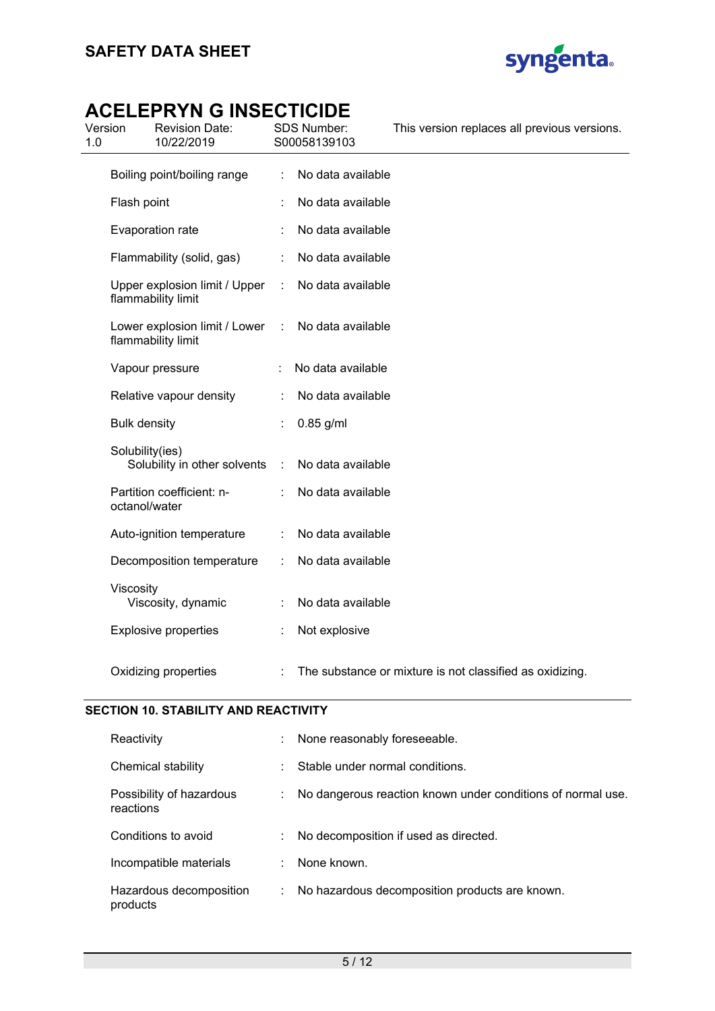

| 1.0 | Version             | LLLI I\I I\ V II\VLV I IVIDL<br><b>Revision Date:</b><br>10/22/2019 |   | SDS Number:<br>S00058139103 | This version replaces all previous versions.             |
|-----|---------------------|---------------------------------------------------------------------|---|-----------------------------|----------------------------------------------------------|
|     |                     | Boiling point/boiling range                                         | ÷ | No data available           |                                                          |
|     | Flash point         |                                                                     |   | No data available           |                                                          |
|     |                     | Evaporation rate                                                    |   | No data available           |                                                          |
|     |                     | Flammability (solid, gas)                                           |   | No data available           |                                                          |
|     |                     | Upper explosion limit / Upper<br>flammability limit                 | ÷ | No data available           |                                                          |
|     |                     | Lower explosion limit / Lower<br>flammability limit                 | ÷ | No data available           |                                                          |
|     |                     | Vapour pressure                                                     |   | No data available           |                                                          |
|     |                     | Relative vapour density                                             |   | No data available           |                                                          |
|     | <b>Bulk density</b> |                                                                     |   | $0.85$ g/ml                 |                                                          |
|     | Solubility(ies)     | Solubility in other solvents                                        | ÷ | No data available           |                                                          |
|     | octanol/water       | Partition coefficient: n-                                           |   | No data available           |                                                          |
|     |                     | Auto-ignition temperature                                           |   | No data available           |                                                          |
|     |                     | Decomposition temperature                                           |   | No data available           |                                                          |
|     | Viscosity           | Viscosity, dynamic                                                  |   | No data available           |                                                          |
|     |                     | <b>Explosive properties</b>                                         |   | Not explosive               |                                                          |
|     |                     | Oxidizing properties                                                |   |                             | The substance or mixture is not classified as oxidizing. |

### **SECTION 10. STABILITY AND REACTIVITY**

| Reactivity                            | None reasonably foreseeable.                                |
|---------------------------------------|-------------------------------------------------------------|
| Chemical stability                    | Stable under normal conditions.                             |
| Possibility of hazardous<br>reactions | No dangerous reaction known under conditions of normal use. |
| Conditions to avoid                   | No decomposition if used as directed.                       |
| Incompatible materials                | None known.                                                 |
| Hazardous decomposition<br>products   | No hazardous decomposition products are known.              |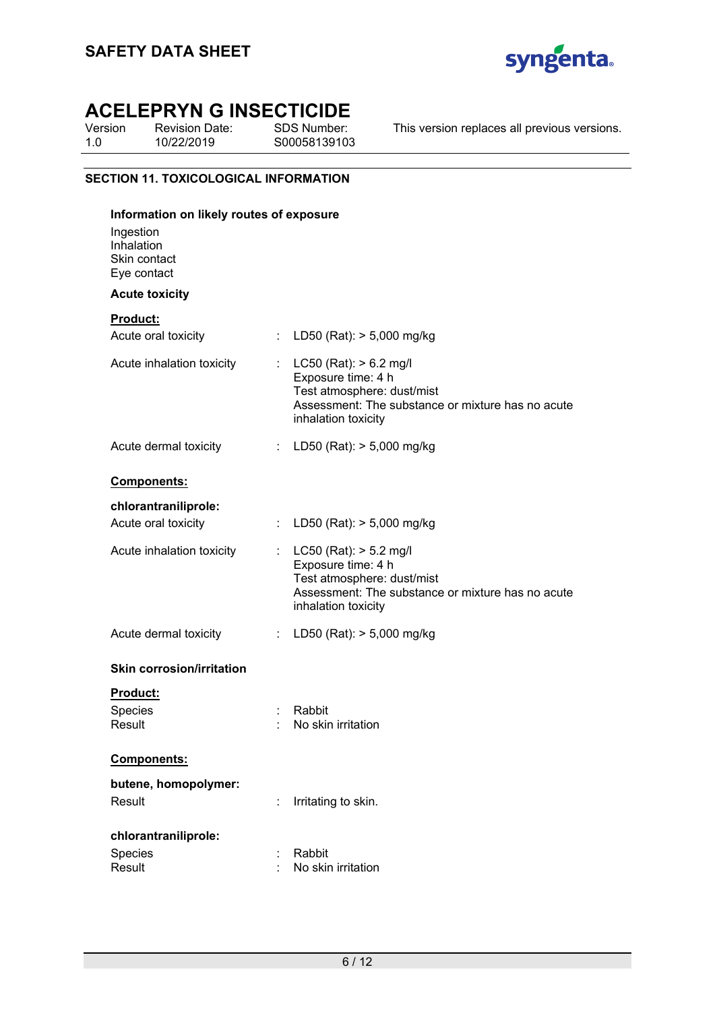

Version 1.0 Revision Date: 10/22/2019

SDS Number: S00058139103 This version replaces all previous versions.

### **SECTION 11. TOXICOLOGICAL INFORMATION**

| Information on likely routes of exposure               |    |                                                                                                                                                              |  |  |
|--------------------------------------------------------|----|--------------------------------------------------------------------------------------------------------------------------------------------------------------|--|--|
| Ingestion<br>Inhalation<br>Skin contact<br>Eye contact |    |                                                                                                                                                              |  |  |
| <b>Acute toxicity</b>                                  |    |                                                                                                                                                              |  |  |
| <b>Product:</b>                                        |    |                                                                                                                                                              |  |  |
| Acute oral toxicity                                    | ÷  | LD50 (Rat): $> 5,000$ mg/kg                                                                                                                                  |  |  |
| Acute inhalation toxicity                              |    | : $LC50$ (Rat): $> 6.2$ mg/l<br>Exposure time: 4 h<br>Test atmosphere: dust/mist<br>Assessment: The substance or mixture has no acute<br>inhalation toxicity |  |  |
| Acute dermal toxicity                                  |    | : LD50 (Rat): $> 5,000$ mg/kg                                                                                                                                |  |  |
| Components:                                            |    |                                                                                                                                                              |  |  |
| chlorantraniliprole:                                   |    |                                                                                                                                                              |  |  |
| Acute oral toxicity                                    | ÷  | LD50 (Rat): $> 5,000$ mg/kg                                                                                                                                  |  |  |
| Acute inhalation toxicity                              |    | : $LC50$ (Rat): $> 5.2$ mg/l<br>Exposure time: 4 h<br>Test atmosphere: dust/mist<br>Assessment: The substance or mixture has no acute<br>inhalation toxicity |  |  |
| Acute dermal toxicity                                  |    | : LD50 (Rat): $> 5,000$ mg/kg                                                                                                                                |  |  |
| <b>Skin corrosion/irritation</b>                       |    |                                                                                                                                                              |  |  |
| <b>Product:</b>                                        |    |                                                                                                                                                              |  |  |
| <b>Species</b>                                         | İ, | Rabbit                                                                                                                                                       |  |  |
| Result                                                 |    | No skin irritation                                                                                                                                           |  |  |
| Components:                                            |    |                                                                                                                                                              |  |  |
| butene, homopolymer:                                   |    |                                                                                                                                                              |  |  |
| Result                                                 |    | Irritating to skin.                                                                                                                                          |  |  |
| chlorantraniliprole:                                   |    |                                                                                                                                                              |  |  |
| Species                                                |    | Rabbit                                                                                                                                                       |  |  |
| Result                                                 |    | No skin irritation                                                                                                                                           |  |  |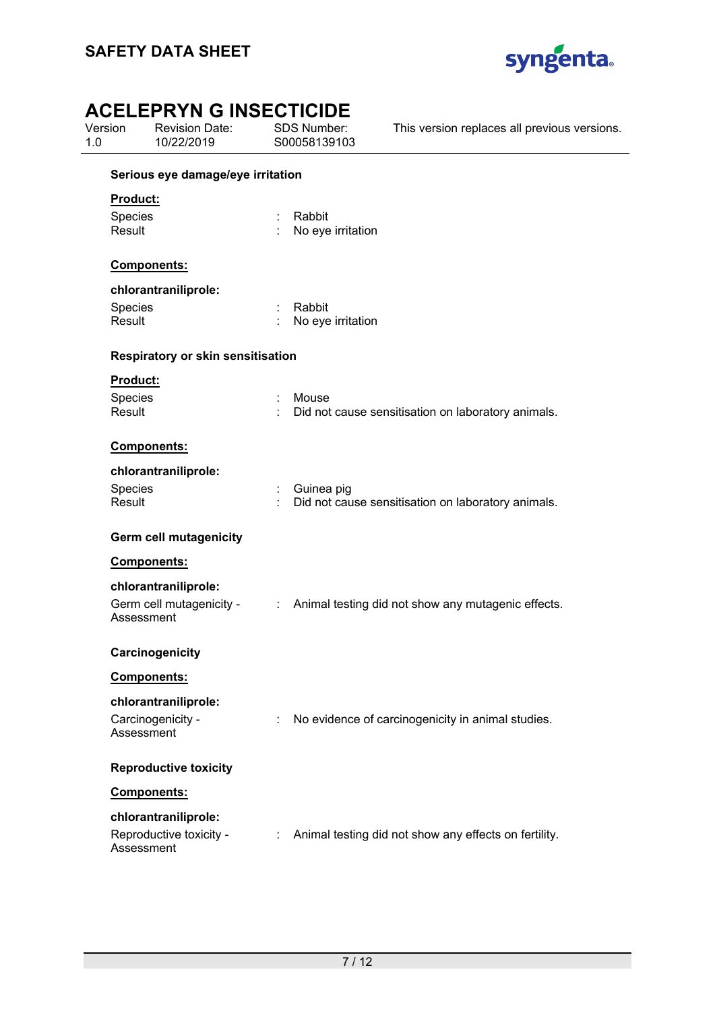

| Version<br>1.0    | <b>Revision Date:</b><br>10/22/2019   |   | SDS Number:<br>S00058139103 | This version replaces all previous versions.          |  |  |  |
|-------------------|---------------------------------------|---|-----------------------------|-------------------------------------------------------|--|--|--|
|                   | Serious eye damage/eye irritation     |   |                             |                                                       |  |  |  |
| <b>Product:</b>   |                                       |   |                             |                                                       |  |  |  |
| Species<br>Result |                                       |   | Rabbit<br>No eye irritation |                                                       |  |  |  |
|                   | Components:                           |   |                             |                                                       |  |  |  |
|                   | chlorantraniliprole:                  |   |                             |                                                       |  |  |  |
| Species           |                                       |   | Rabbit                      |                                                       |  |  |  |
| Result            |                                       |   | No eye irritation           |                                                       |  |  |  |
|                   | Respiratory or skin sensitisation     |   |                             |                                                       |  |  |  |
| Product:          |                                       |   |                             |                                                       |  |  |  |
| Species           |                                       |   | Mouse                       |                                                       |  |  |  |
| Result            |                                       |   |                             | Did not cause sensitisation on laboratory animals.    |  |  |  |
|                   | Components:                           |   |                             |                                                       |  |  |  |
|                   | chlorantraniliprole:                  |   |                             |                                                       |  |  |  |
| Species           |                                       |   | Guinea pig                  |                                                       |  |  |  |
| Result            |                                       |   |                             | Did not cause sensitisation on laboratory animals.    |  |  |  |
|                   | <b>Germ cell mutagenicity</b>         |   |                             |                                                       |  |  |  |
|                   | Components:                           |   |                             |                                                       |  |  |  |
|                   | chlorantraniliprole:                  |   |                             |                                                       |  |  |  |
|                   | Germ cell mutagenicity -              |   |                             | : Animal testing did not show any mutagenic effects.  |  |  |  |
|                   | Assessment                            |   |                             |                                                       |  |  |  |
|                   | Carcinogenicity                       |   |                             |                                                       |  |  |  |
|                   | <b>Components:</b>                    |   |                             |                                                       |  |  |  |
|                   | chlorantraniliprole:                  |   |                             |                                                       |  |  |  |
|                   | Carcinogenicity -<br>Assessment       |   |                             | No evidence of carcinogenicity in animal studies.     |  |  |  |
|                   | <b>Reproductive toxicity</b>          |   |                             |                                                       |  |  |  |
|                   | <b>Components:</b>                    |   |                             |                                                       |  |  |  |
|                   | chlorantraniliprole:                  |   |                             |                                                       |  |  |  |
|                   | Reproductive toxicity -<br>Assessment | ÷ |                             | Animal testing did not show any effects on fertility. |  |  |  |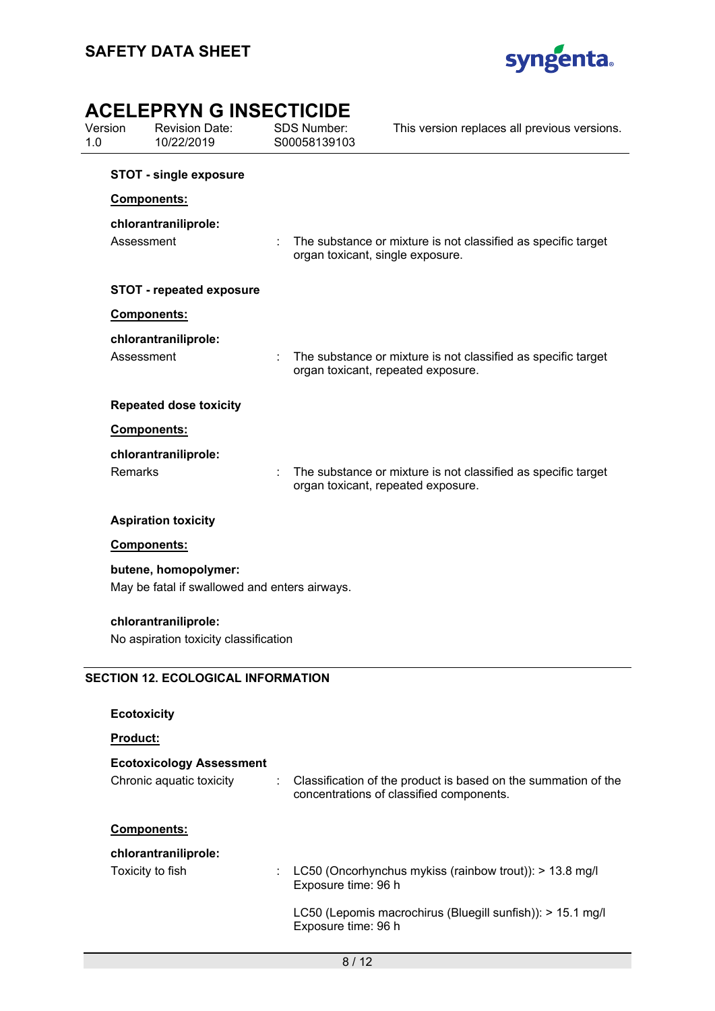

| AUCLEMENTIN U INJEUTIUIDE<br>Version<br><b>Revision Date:</b><br>10/22/2019<br>1.0 |                    |                                                                       | <b>SDS Number:</b><br>S00058139103 |                                  | This version replaces all previous versions.                                                               |
|------------------------------------------------------------------------------------|--------------------|-----------------------------------------------------------------------|------------------------------------|----------------------------------|------------------------------------------------------------------------------------------------------------|
|                                                                                    |                    | <b>STOT - single exposure</b>                                         |                                    |                                  |                                                                                                            |
|                                                                                    |                    | Components:                                                           |                                    |                                  |                                                                                                            |
|                                                                                    | Assessment         | chlorantraniliprole:                                                  |                                    | organ toxicant, single exposure. | The substance or mixture is not classified as specific target                                              |
|                                                                                    |                    | <b>STOT - repeated exposure</b>                                       |                                    |                                  |                                                                                                            |
|                                                                                    |                    | Components:                                                           |                                    |                                  |                                                                                                            |
|                                                                                    | Assessment         | chlorantraniliprole:                                                  |                                    |                                  | The substance or mixture is not classified as specific target<br>organ toxicant, repeated exposure.        |
|                                                                                    |                    | <b>Repeated dose toxicity</b>                                         |                                    |                                  |                                                                                                            |
|                                                                                    |                    | Components:                                                           |                                    |                                  |                                                                                                            |
|                                                                                    | Remarks            | chlorantraniliprole:                                                  |                                    |                                  | The substance or mixture is not classified as specific target<br>organ toxicant, repeated exposure.        |
|                                                                                    |                    | <b>Aspiration toxicity</b>                                            |                                    |                                  |                                                                                                            |
|                                                                                    |                    | Components:                                                           |                                    |                                  |                                                                                                            |
|                                                                                    |                    | butene, homopolymer:<br>May be fatal if swallowed and enters airways. |                                    |                                  |                                                                                                            |
|                                                                                    |                    | chlorantraniliprole:<br>No aspiration toxicity classification         |                                    |                                  |                                                                                                            |
|                                                                                    |                    | <b>SECTION 12. ECOLOGICAL INFORMATION</b>                             |                                    |                                  |                                                                                                            |
|                                                                                    | <b>Ecotoxicity</b> |                                                                       |                                    |                                  |                                                                                                            |
|                                                                                    | Product:           |                                                                       |                                    |                                  |                                                                                                            |
|                                                                                    |                    | <b>Ecotoxicology Assessment</b>                                       |                                    |                                  |                                                                                                            |
|                                                                                    |                    | Chronic aquatic toxicity                                              |                                    |                                  | Classification of the product is based on the summation of the<br>concentrations of classified components. |
|                                                                                    |                    | Components:                                                           |                                    |                                  |                                                                                                            |
|                                                                                    |                    | chlorantraniliprole:<br>Toxicity to fish                              |                                    |                                  | LC50 (Oncorhynchus mykiss (rainbow trout)): > 13.8 mg/l                                                    |

LC50 (Lepomis macrochirus (Bluegill sunfish)): > 15.1 mg/l Exposure time: 96 h

Exposure time: 96 h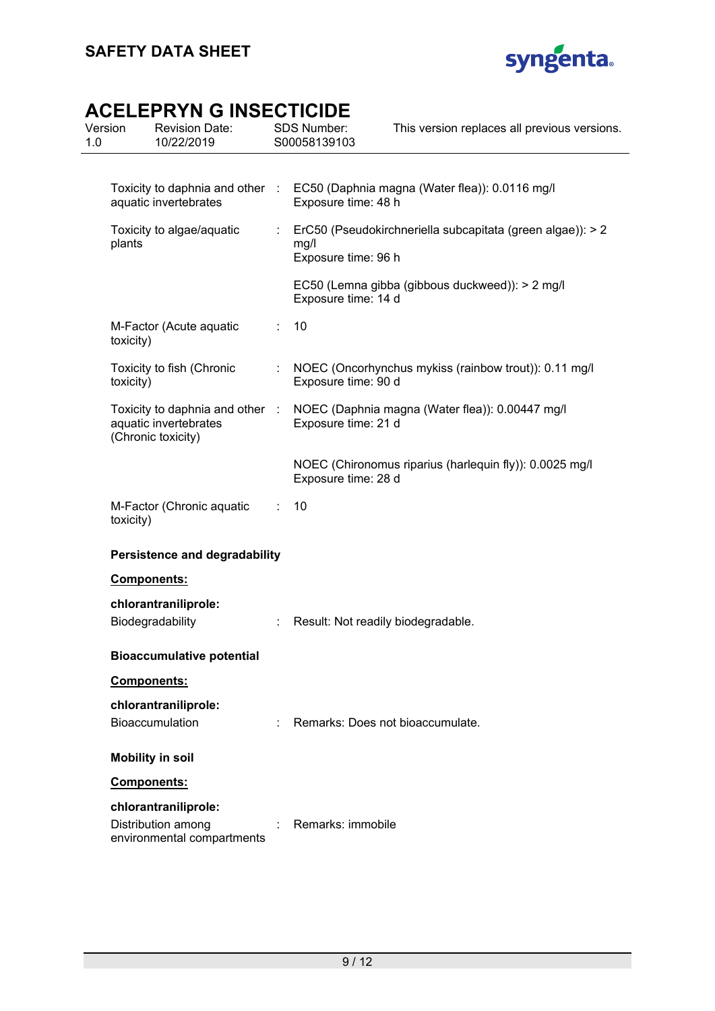

| 1.0 | Version                              | <b>Revision Date:</b><br>10/22/2019                                            |   | SDS Number:<br>S00058139103                                                                           | This version replaces all previous versions.               |
|-----|--------------------------------------|--------------------------------------------------------------------------------|---|-------------------------------------------------------------------------------------------------------|------------------------------------------------------------|
|     |                                      |                                                                                |   |                                                                                                       |                                                            |
|     | aquatic invertebrates                |                                                                                |   | Toxicity to daphnia and other : EC50 (Daphnia magna (Water flea)): 0.0116 mg/l<br>Exposure time: 48 h |                                                            |
|     | plants                               | Toxicity to algae/aquatic                                                      | ÷ | mg/l<br>Exposure time: 96 h                                                                           | ErC50 (Pseudokirchneriella subcapitata (green algae)): > 2 |
|     |                                      |                                                                                |   | Exposure time: 14 d                                                                                   | EC50 (Lemna gibba (gibbous duckweed)): > 2 mg/l            |
|     | toxicity)                            | M-Factor (Acute aquatic                                                        |   | 10                                                                                                    |                                                            |
|     | toxicity)                            | Toxicity to fish (Chronic                                                      | ÷ | Exposure time: 90 d                                                                                   | NOEC (Oncorhynchus mykiss (rainbow trout)): 0.11 mg/l      |
|     |                                      | Toxicity to daphnia and other :<br>aquatic invertebrates<br>(Chronic toxicity) |   | Exposure time: 21 d                                                                                   | NOEC (Daphnia magna (Water flea)): 0.00447 mg/l            |
|     |                                      |                                                                                |   | Exposure time: 28 d                                                                                   | NOEC (Chironomus riparius (harlequin fly)): 0.0025 mg/l    |
|     | toxicity)                            | M-Factor (Chronic aquatic                                                      | ÷ | 10                                                                                                    |                                                            |
|     | <b>Persistence and degradability</b> |                                                                                |   |                                                                                                       |                                                            |
|     |                                      | <b>Components:</b>                                                             |   |                                                                                                       |                                                            |
|     |                                      | chlorantraniliprole:<br>Biodegradability                                       |   | Result: Not readily biodegradable.                                                                    |                                                            |
|     |                                      | <b>Bioaccumulative potential</b>                                               |   |                                                                                                       |                                                            |
|     |                                      | Components:                                                                    |   |                                                                                                       |                                                            |
|     |                                      | chlorantraniliprole:<br><b>Bioaccumulation</b>                                 |   |                                                                                                       | Remarks: Does not bioaccumulate.                           |
|     |                                      | <b>Mobility in soil</b>                                                        |   |                                                                                                       |                                                            |
|     |                                      | <b>Components:</b>                                                             |   |                                                                                                       |                                                            |
|     |                                      | chlorantraniliprole:<br>Distribution among<br>environmental compartments       |   | Remarks: immobile                                                                                     |                                                            |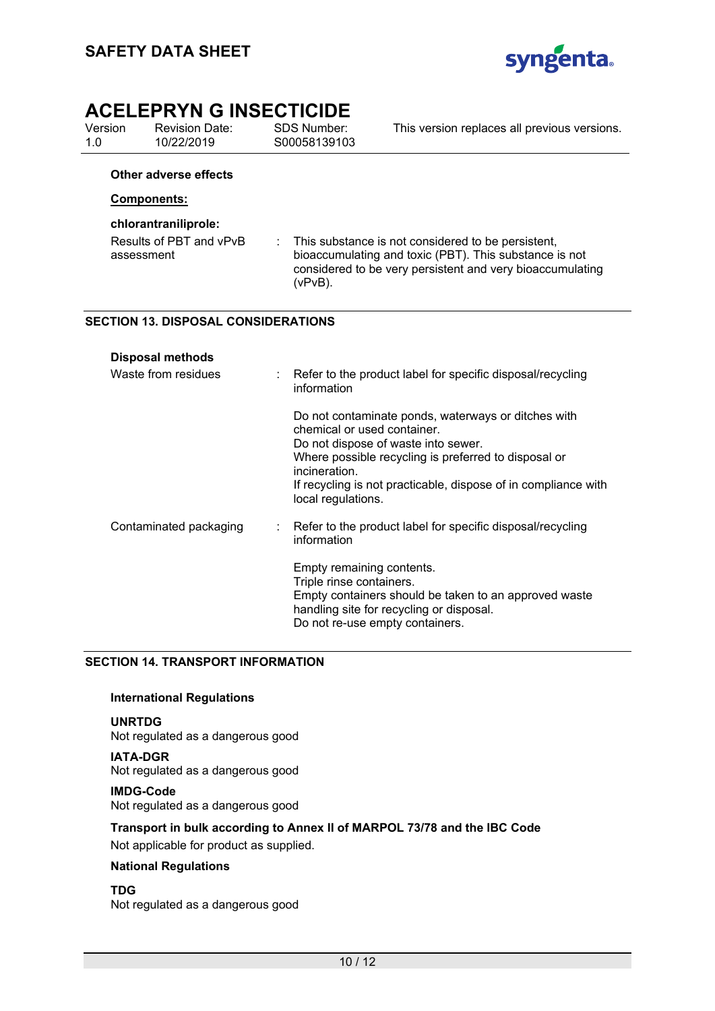

Version 1.0 Revision Date: 10/22/2019

SDS Number: S00058139103

This version replaces all previous versions.

### **Other adverse effects**

### **Components:**

### **chlorantraniliprole:**

Results of PBT and vPvB assessment : This substance is not considered to be persistent, bioaccumulating and toxic (PBT). This substance is not considered to be very persistent and very bioaccumulating (vPvB).

### **SECTION 13. DISPOSAL CONSIDERATIONS**

| <b>Disposal methods</b> |                                                                                                                                                                                                                                                                                            |  |
|-------------------------|--------------------------------------------------------------------------------------------------------------------------------------------------------------------------------------------------------------------------------------------------------------------------------------------|--|
| Waste from residues     | : Refer to the product label for specific disposal/recycling<br>information                                                                                                                                                                                                                |  |
|                         | Do not contaminate ponds, waterways or ditches with<br>chemical or used container.<br>Do not dispose of waste into sewer.<br>Where possible recycling is preferred to disposal or<br>incineration.<br>If recycling is not practicable, dispose of in compliance with<br>local regulations. |  |
| Contaminated packaging  | Refer to the product label for specific disposal/recycling<br>information                                                                                                                                                                                                                  |  |
|                         | Empty remaining contents.<br>Triple rinse containers.<br>Empty containers should be taken to an approved waste<br>handling site for recycling or disposal.<br>Do not re-use empty containers.                                                                                              |  |

### **SECTION 14. TRANSPORT INFORMATION**

### **International Regulations**

### **UNRTDG**

Not regulated as a dangerous good

### **IATA-DGR**

Not regulated as a dangerous good

### **IMDG-Code** Not regulated as a dangerous good

### **Transport in bulk according to Annex II of MARPOL 73/78 and the IBC Code**

Not applicable for product as supplied.

### **National Regulations**

### **TDG**

Not regulated as a dangerous good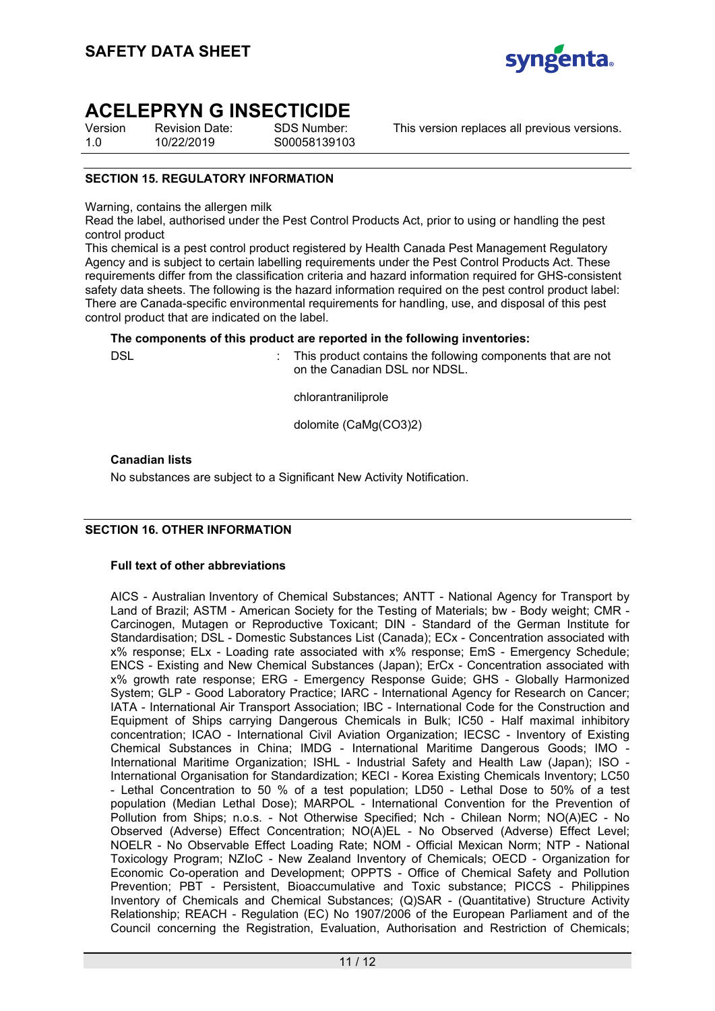

Version 1.0 Revision Date: 10/22/2019

SDS Number: S00058139103

This version replaces all previous versions.

### **SECTION 15. REGULATORY INFORMATION**

Warning, contains the allergen milk

Read the label, authorised under the Pest Control Products Act, prior to using or handling the pest control product

This chemical is a pest control product registered by Health Canada Pest Management Regulatory Agency and is subject to certain labelling requirements under the Pest Control Products Act. These requirements differ from the classification criteria and hazard information required for GHS-consistent safety data sheets. The following is the hazard information required on the pest control product label: There are Canada-specific environmental requirements for handling, use, and disposal of this pest control product that are indicated on the label.

### **The components of this product are reported in the following inventories:**

DSL **EXECUTE:** This product contains the following components that are not on the Canadian DSL nor NDSL.

chlorantraniliprole

dolomite (CaMg(CO3)2)

**Canadian lists**

No substances are subject to a Significant New Activity Notification.

### **SECTION 16. OTHER INFORMATION**

### **Full text of other abbreviations**

AICS - Australian Inventory of Chemical Substances; ANTT - National Agency for Transport by Land of Brazil; ASTM - American Society for the Testing of Materials; bw - Body weight; CMR - Carcinogen, Mutagen or Reproductive Toxicant; DIN - Standard of the German Institute for Standardisation; DSL - Domestic Substances List (Canada); ECx - Concentration associated with x% response; ELx - Loading rate associated with x% response; EmS - Emergency Schedule; ENCS - Existing and New Chemical Substances (Japan); ErCx - Concentration associated with x% growth rate response; ERG - Emergency Response Guide; GHS - Globally Harmonized System; GLP - Good Laboratory Practice; IARC - International Agency for Research on Cancer; IATA - International Air Transport Association; IBC - International Code for the Construction and Equipment of Ships carrying Dangerous Chemicals in Bulk; IC50 - Half maximal inhibitory concentration; ICAO - International Civil Aviation Organization; IECSC - Inventory of Existing Chemical Substances in China; IMDG - International Maritime Dangerous Goods; IMO - International Maritime Organization; ISHL - Industrial Safety and Health Law (Japan); ISO - International Organisation for Standardization; KECI - Korea Existing Chemicals Inventory; LC50 - Lethal Concentration to 50 % of a test population; LD50 - Lethal Dose to 50% of a test population (Median Lethal Dose); MARPOL - International Convention for the Prevention of Pollution from Ships; n.o.s. - Not Otherwise Specified; Nch - Chilean Norm; NO(A)EC - No Observed (Adverse) Effect Concentration; NO(A)EL - No Observed (Adverse) Effect Level; NOELR - No Observable Effect Loading Rate; NOM - Official Mexican Norm; NTP - National Toxicology Program; NZIoC - New Zealand Inventory of Chemicals; OECD - Organization for Economic Co-operation and Development; OPPTS - Office of Chemical Safety and Pollution Prevention; PBT - Persistent, Bioaccumulative and Toxic substance; PICCS - Philippines Inventory of Chemicals and Chemical Substances; (Q)SAR - (Quantitative) Structure Activity Relationship; REACH - Regulation (EC) No 1907/2006 of the European Parliament and of the Council concerning the Registration, Evaluation, Authorisation and Restriction of Chemicals;